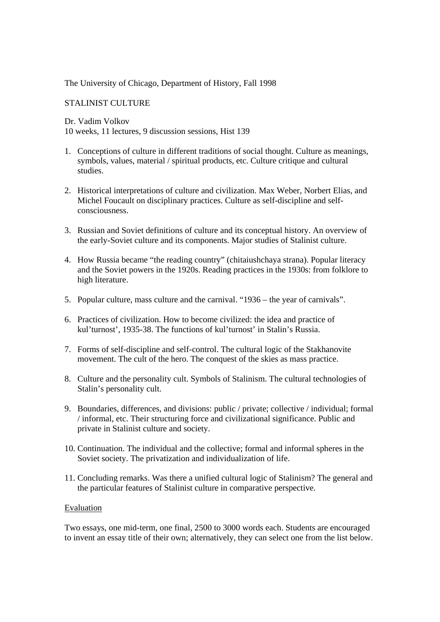## The University of Chicago, Department of History, Fall 1998

# STALINIST CULTURE

Dr. Vadim Volkov

10 weeks, 11 lectures, 9 discussion sessions, Hist 139

- 1. Conceptions of culture in different traditions of social thought. Culture as meanings, symbols, values, material / spiritual products, etc. Culture critique and cultural studies.
- 2. Historical interpretations of culture and civilization. Max Weber, Norbert Elias, and Michel Foucault on disciplinary practices. Culture as self-discipline and selfconsciousness.
- 3. Russian and Soviet definitions of culture and its conceptual history. An overview of the early-Soviet culture and its components. Major studies of Stalinist culture.
- 4. How Russia became "the reading country" (chitaiushchaya strana). Popular literacy and the Soviet powers in the 1920s. Reading practices in the 1930s: from folklore to high literature.
- 5. Popular culture, mass culture and the carnival. "1936 the year of carnivals".
- 6. Practices of civilization. How to become civilized: the idea and practice of kul'turnost', 1935-38. The functions of kul'turnost' in Stalin's Russia.
- 7. Forms of self-discipline and self-control. The cultural logic of the Stakhanovite movement. The cult of the hero. The conquest of the skies as mass practice.
- 8. Culture and the personality cult. Symbols of Stalinism. The cultural technologies of Stalin's personality cult.
- 9. Boundaries, differences, and divisions: public / private; collective / individual; formal / informal, etc. Their structuring force and civilizational significance. Public and private in Stalinist culture and society.
- 10. Continuation. The individual and the collective; formal and informal spheres in the Soviet society. The privatization and individualization of life.
- 11. Concluding remarks. Was there a unified cultural logic of Stalinism? The general and the particular features of Stalinist culture in comparative perspective.

## Evaluation

Two essays, one mid-term, one final, 2500 to 3000 words each. Students are encouraged to invent an essay title of their own; alternatively, they can select one from the list below.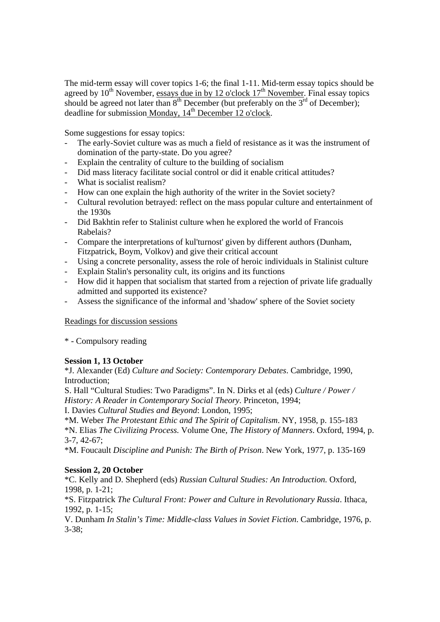The mid-term essay will cover topics 1-6; the final 1-11. Mid-term essay topics should be agreed by  $10^{th}$  November, essays due in by 12 o'clock  $17^{th}$  November. Final essay topics should be agreed not later than  $8<sup>th</sup>$  December (but preferably on the  $3<sup>rd</sup>$  of December); deadline for submission Monday,  $14<sup>th</sup>$  December 12 o'clock.

Some suggestions for essay topics:

- The early-Soviet culture was as much a field of resistance as it was the instrument of domination of the party-state. Do you agree?
- Explain the centrality of culture to the building of socialism
- Did mass literacy facilitate social control or did it enable critical attitudes?
- What is socialist realism?
- How can one explain the high authority of the writer in the Soviet society?
- Cultural revolution betrayed: reflect on the mass popular culture and entertainment of the 1930s
- Did Bakhtin refer to Stalinist culture when he explored the world of Francois Rabelais?
- Compare the interpretations of kul'turnost' given by different authors (Dunham, Fitzpatrick, Boym, Volkov) and give their critical account
- Using a concrete personality, assess the role of heroic individuals in Stalinist culture
- Explain Stalin's personality cult, its origins and its functions
- How did it happen that socialism that started from a rejection of private life gradually admitted and supported its existence?
- Assess the significance of the informal and 'shadow' sphere of the Soviet society

## Readings for discussion sessions

\* - Compulsory reading

## **Session 1, 13 October**

\*J. Alexander (Ed) *Culture and Society: Contemporary Debates*. Cambridge, 1990, Introduction;

S. Hall "Cultural Studies: Two Paradigms". In N. Dirks et al (eds) *Culture / Power / History: A Reader in Contemporary Social Theory*. Princeton, 1994;

I. Davies *Cultural Studies and Beyond*: London, 1995;

\*M. Weber *The Protestant Ethic and The Spirit of Capitalism*. NY, 1958, p. 155-183 \*N. Elias *The Civilizing Process.* Volume One*, The History of Manners*. Oxford, 1994, p. 3-7, 42-67;

\*M. Foucault *Discipline and Punish: The Birth of Prison*. New York, 1977, p. 135-169

## **Session 2, 20 October**

\*C. Kelly and D. Shepherd (eds) *Russian Cultural Studies: An Introduction.* Oxford, 1998, p. 1-21;

\*S. Fitzpatrick *The Cultural Front: Power and Culture in Revolutionary Russia*. Ithaca, 1992, p. 1-15;

V. Dunham *In Stalin's Time: Middle-class Values in Soviet Fiction*. Cambridge, 1976, p. 3-38;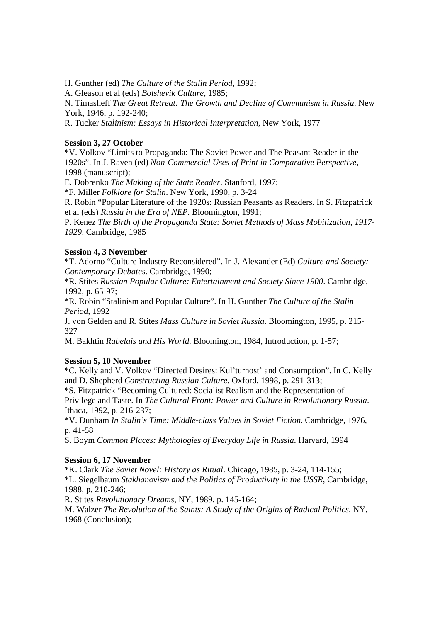H. Gunther (ed) *The Culture of the Stalin Period*, 1992;

A. Gleason et al (eds) *Bolshevik Culture*, 1985;

N. Timasheff *The Great Retreat: The Growth and Decline of Communism in Russia*. New York, 1946, p. 192-240;

R. Tucker *Stalinism: Essays in Historical Interpretation*, New York, 1977

### **Session 3, 27 October**

\*V. Volkov "Limits to Propaganda: The Soviet Power and The Peasant Reader in the 1920s". In J. Raven (ed) *Non-Commercial Uses of Print in Comparative Perspective*, 1998 (manuscript);

E. Dobrenko *The Making of the State Reader*. Stanford, 1997;

\*F. Miller *Folklore for Stalin*. New York, 1990, p. 3-24

R. Robin "Popular Literature of the 1920s: Russian Peasants as Readers. In S. Fitzpatrick et al (eds) *Russia in the Era of NEP*. Bloomington, 1991;

P. Kenez *The Birth of the Propaganda State: Soviet Methods of Mass Mobilization, 1917- 1929*. Cambridge, 1985

## **Session 4, 3 November**

\*T. Adorno "Culture Industry Reconsidered". In J. Alexander (Ed) *Culture and Society: Contemporary Debates*. Cambridge, 1990;

\*R. Stites *Russian Popular Culture: Entertainment and Society Since 1900*. Cambridge, 1992, p. 65-97;

\*R. Robin "Stalinism and Popular Culture". In H. Gunther *The Culture of the Stalin Period*, 1992

J. von Gelden and R. Stites *Mass Culture in Soviet Russia*. Bloomington, 1995, p. 215- 327

M. Bakhtin *Rabelais and His World*. Bloomington, 1984, Introduction, p. 1-57;

## **Session 5, 10 November**

\*C. Kelly and V. Volkov "Directed Desires: Kul'turnost' and Consumption". In C. Kelly and D. Shepherd *Constructing Russian Culture*. Oxford, 1998, p. 291-313;

\*S. Fitzpatrick "Becoming Cultured: Socialist Realism and the Representation of Privilege and Taste. In *The Cultural Front: Power and Culture in Revolutionary Russia*. Ithaca, 1992, p. 216-237;

\*V. Dunham *In Stalin's Time: Middle-class Values in Soviet Fiction*. Cambridge, 1976, p. 41-58

S. Boym *Common Places: Mythologies of Everyday Life in Russia*. Harvard, 1994

## **Session 6, 17 November**

\*K. Clark *The Soviet Novel: History as Ritual*. Chicago, 1985, p. 3-24, 114-155; \*L. Siegelbaum *Stakhanovism and the Politics of Productivity in the USSR*, Cambridge, 1988, p. 210-246;

R. Stites *Revolutionary Dreams*, NY, 1989, p. 145-164;

M. Walzer *The Revolution of the Saints: A Study of the Origins of Radical Politics*, NY, 1968 (Conclusion);